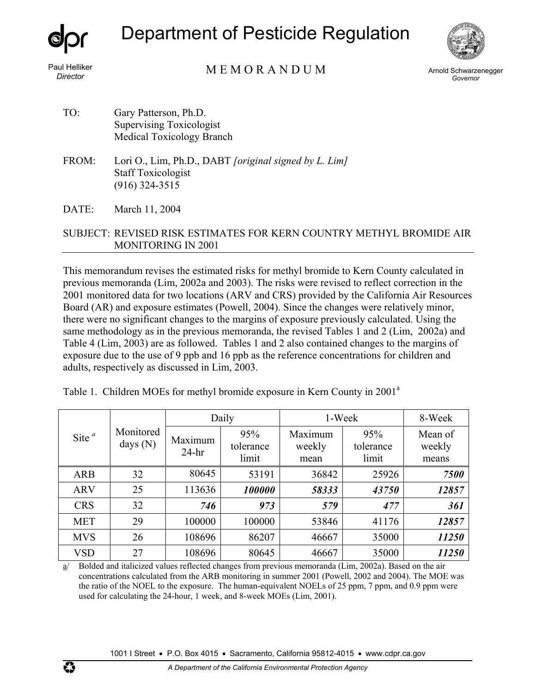

## Department of Pesticide Regulation



M E M O R A N D U M Paul Helliker *Director* Arnold Schwarzenegger

*Governor* 

- TO: Gary Patterson, Ph.D. Supervising Toxicologist Medical Toxicology Branch
- FROM: Lori O., Lim, Ph.D., DABT *[original signed by L. Lim]* Staff Toxicologist (916) 324-3515
- DATE: March 11, 2004

## SUBJECT: REVISED RISK ESTIMATES FOR KERN COUNTRY METHYL BROMIDE AIR MONITORING IN 2001

This memorandum revises the estimated risks for methyl bromide to Kern County calculated in previous memoranda (Lim, 2002a and 2003). The risks were revised to reflect correction in the 2001 monitored data for two locations (ARV and CRS) provided by the California Air Resources Board (AR) and exposure estimates (Powell, 2004). Since the changes were relatively minor, there were no significant changes to the margins of exposure previously calculated. Using the same methodology as in the previous memoranda, the revised Tables 1 and 2 (Lim, 2002a) and Table 4 (Lim, 2003) are as followed. Tables 1 and 2 also contained changes to the margins of exposure due to the use of 9 ppb and 16 ppb as the reference concentrations for children and adults, respectively as discussed in Lim, 2003.

|  |  | Table 1. Children MOEs for methyl bromide exposure in Kern County in 2001 <sup>a</sup> |  |  |
|--|--|----------------------------------------------------------------------------------------|--|--|
|  |  |                                                                                        |  |  |

| Site $a$   | Monitored<br>days $(N)$ |                    | Daily                     | 1-Week                    | 8-Week                    |                            |
|------------|-------------------------|--------------------|---------------------------|---------------------------|---------------------------|----------------------------|
|            |                         | Maximum<br>$24-hr$ | 95%<br>tolerance<br>limit | Maximum<br>weekly<br>mean | 95%<br>tolerance<br>limit | Mean of<br>weekly<br>means |
| <b>ARB</b> | 32                      | 80645              | 53191                     | 36842                     | 25926                     | 7500                       |
| <b>ARV</b> | 25                      | 113636             | 100000                    | 58333                     | 43750                     | 12857                      |
| <b>CRS</b> | 32                      | 746                | 973                       | 579                       | 477                       | 361                        |
| <b>MET</b> | 29                      | 100000             | 100000                    | 53846                     | 41176                     | 12857                      |
| <b>MVS</b> | 26                      | 108696             | 86207                     | 46667                     | 35000                     | 11250                      |
| <b>VSD</b> | 27                      | 108696             | 80645                     | 46667                     | 35000                     | 11250                      |

a/ Bolded and italicized values reflected changes from previous memoranda (Lim, 2002a). Based on the air concentrations calculated from the ARB monitoring in summer 2001 (Powell, 2002 and 2004). The MOE was the ratio of the NOEL to the exposure. The human-equivalent NOELs of 25 ppm, 7 ppm, and 0.9 ppm were used for calculating the 24-hour, 1 week, and 8-week MOEs (Lim, 2001).

1001 I Street • P.O. Box 4015 • Sacramento, California 95812-4015 • www.cdpr.ca.gov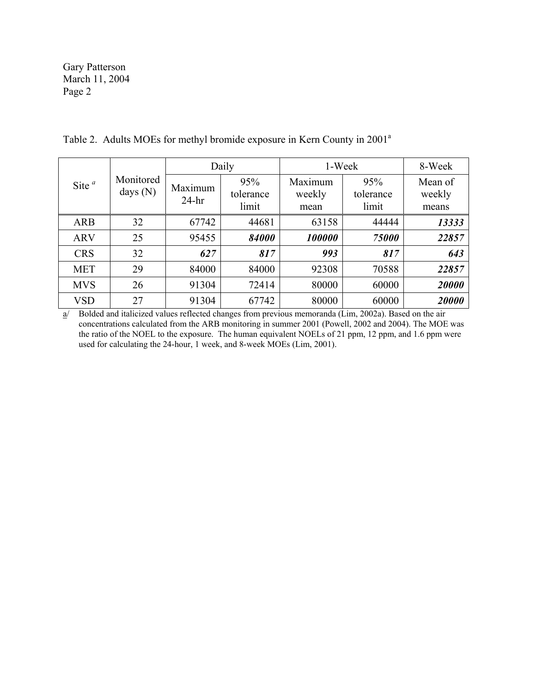Gary Patterson March 11, 2004 Page 2

| Site $a$   | Monitored<br>days $(N)$ |                    | Daily                     | 1-Week                    | 8-Week                    |                            |
|------------|-------------------------|--------------------|---------------------------|---------------------------|---------------------------|----------------------------|
|            |                         | Maximum<br>$24-hr$ | 95%<br>tolerance<br>limit | Maximum<br>weekly<br>mean | 95%<br>tolerance<br>limit | Mean of<br>weekly<br>means |
| <b>ARB</b> | 32                      | 67742              | 44681                     | 63158                     | 44444                     | 13333                      |
| <b>ARV</b> | 25                      | 95455              | 84000                     | 100000                    | 75000                     | 22857                      |
| <b>CRS</b> | 32                      | 627                | 817                       | 993                       | 817                       | 643                        |
| <b>MET</b> | 29                      | 84000              | 84000                     | 92308                     | 70588                     | 22857                      |
| <b>MVS</b> | 26                      | 91304              | 72414                     | 80000                     | 60000                     | 20000                      |
| <b>VSD</b> | 27                      | 91304              | 67742                     | 80000                     | 60000                     | 20000                      |

Table 2. Adults MOEs for methyl bromide exposure in Kern County in 2001<sup>a</sup>

a/ Bolded and italicized values reflected changes from previous memoranda (Lim, 2002a). Based on the air concentrations calculated from the ARB monitoring in summer 2001 (Powell, 2002 and 2004). The MOE was the ratio of the NOEL to the exposure. The human equivalent NOELs of 21 ppm, 12 ppm, and 1.6 ppm were used for calculating the 24-hour, 1 week, and 8-week MOEs (Lim, 2001).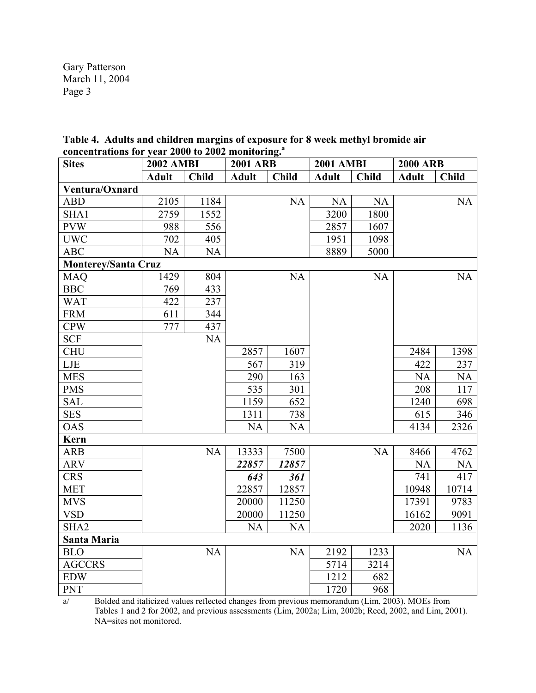Gary Patterson March 11, 2004 Page 3

| Table 4. Adults and children margins of exposure for 8 week methyl bromide air |  |
|--------------------------------------------------------------------------------|--|
| concentrations for year 2000 to 2002 monitoring. <sup>3</sup>                  |  |

| <b>Sites</b>               | <b>2002 AMBI</b> |              | <b>2001 ARB</b> |              | <b>2001 AMBI</b> |              | <b>2000 ARB</b> |              |
|----------------------------|------------------|--------------|-----------------|--------------|------------------|--------------|-----------------|--------------|
|                            | <b>Adult</b>     | <b>Child</b> | <b>Adult</b>    | <b>Child</b> | <b>Adult</b>     | <b>Child</b> | <b>Adult</b>    | <b>Child</b> |
| Ventura/Oxnard             |                  |              |                 |              |                  |              |                 |              |
| <b>ABD</b>                 | 2105             | 1184         |                 | <b>NA</b>    | <b>NA</b>        | <b>NA</b>    |                 | NA           |
| SHA1                       | 2759             | 1552         |                 |              | 3200             | 1800         |                 |              |
| <b>PVW</b>                 | 988              | 556          |                 |              | 2857             | 1607         |                 |              |
| <b>UWC</b>                 | 702              | 405          |                 |              | 1951             | 1098         |                 |              |
| <b>ABC</b>                 | <b>NA</b>        | <b>NA</b>    |                 |              | 8889             | 5000         |                 |              |
| <b>Monterey/Santa Cruz</b> |                  |              |                 |              |                  |              |                 |              |
| <b>MAQ</b>                 | 1429             | 804          |                 | <b>NA</b>    |                  | <b>NA</b>    |                 | NA           |
| <b>BBC</b>                 | 769              | 433          |                 |              |                  |              |                 |              |
| <b>WAT</b>                 | 422              | 237          |                 |              |                  |              |                 |              |
| <b>FRM</b>                 | 611              | 344          |                 |              |                  |              |                 |              |
| <b>CPW</b>                 | 777              | 437          |                 |              |                  |              |                 |              |
| <b>SCF</b>                 |                  | <b>NA</b>    |                 |              |                  |              |                 |              |
| <b>CHU</b>                 |                  |              | 2857            | 1607         |                  |              | 2484            | 1398         |
| LJE                        |                  |              | 567             | 319          |                  |              | 422             | 237          |
| <b>MES</b>                 |                  |              | 290             | 163          |                  |              | <b>NA</b>       | <b>NA</b>    |
| <b>PMS</b>                 |                  |              | 535             | 301          |                  |              | 208             | 117          |
| <b>SAL</b>                 |                  |              | 1159            | 652          |                  |              | 1240            | 698          |
| <b>SES</b>                 |                  |              | 1311            | 738          |                  |              | 615             | 346          |
| <b>OAS</b>                 |                  |              | <b>NA</b>       | <b>NA</b>    |                  |              | 4134            | 2326         |
| <b>Kern</b>                |                  |              |                 |              |                  |              |                 |              |
| <b>ARB</b>                 |                  | <b>NA</b>    | 13333           | 7500         |                  | <b>NA</b>    | 8466            | 4762         |
| <b>ARV</b>                 |                  |              | 22857           | 12857        |                  |              | <b>NA</b>       | NA           |
| <b>CRS</b>                 |                  |              | 643             | 361          |                  |              | 741             | 417          |
| <b>MET</b>                 |                  |              | 22857           | 12857        |                  |              | 10948           | 10714        |
| <b>MVS</b>                 |                  |              | 20000           | 11250        |                  |              | 17391           | 9783         |
| <b>VSD</b>                 |                  |              | 20000           | 11250        |                  |              | 16162           | 9091         |
| SHA <sub>2</sub>           |                  |              | <b>NA</b>       | <b>NA</b>    |                  |              | 2020            | 1136         |
| Santa Maria                |                  |              |                 |              |                  |              |                 |              |
| <b>BLO</b>                 |                  | <b>NA</b>    |                 | NA           | 2192             | 1233         |                 | NA           |
| <b>AGCCRS</b>              |                  |              |                 |              | 5714             | 3214         |                 |              |
| <b>EDW</b>                 |                  |              |                 |              | 1212             | 682          |                 |              |
| <b>PNT</b>                 |                  |              |                 |              | 1720             | 968          |                 |              |

a/ Bolded and italicized values reflected changes from previous memorandum (Lim, 2003). MOEs from Tables 1 and 2 for 2002, and previous assessments (Lim, 2002a; Lim, 2002b; Reed, 2002, and Lim, 2001). NA=sites not monitored.